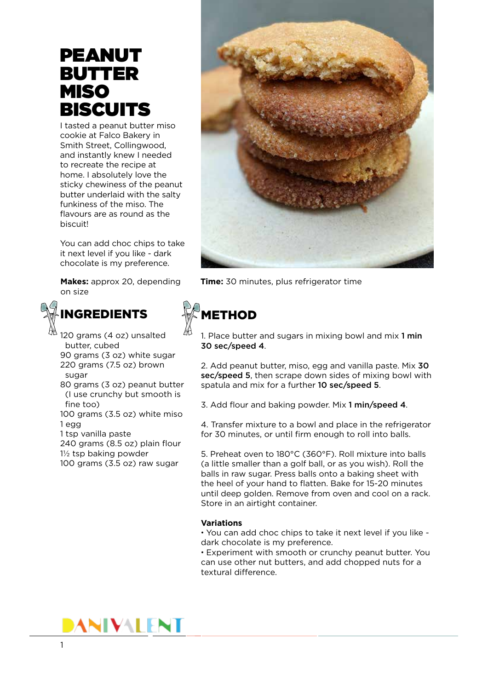# PEANUT BUTTER MISO **BISCUITS**

I tasted a peanut butter miso cookie at Falco Bakery in Smith Street, Collingwood, and instantly knew I needed to recreate the recipe at home. I absolutely love the sticky chewiness of the peanut butter underlaid with the salty funkiness of the miso. The flavours are as round as the biscuit!

You can add choc chips to take it next level if you like - dark chocolate is my preference.

on size



### INGREDIENTS

120 grams (4 oz) unsalted butter, cubed 90 grams (3 oz) white sugar 220 grams (7.5 oz) brown sugar

80 grams (3 oz) peanut butter (I use crunchy but smooth is fine too)

100 grams (3.5 oz) white miso 1 egg

1 tsp vanilla paste

240 grams (8.5 oz) plain flour 11/2 tsp baking powder

100 grams (3.5 oz) raw sugar



**Makes:** approx 20, depending **Time:** 30 minutes, plus refrigerator time

# METHOD

1. Place butter and sugars in mixing bowl and mix 1 min 30 sec/speed 4.

2. Add peanut butter, miso, egg and vanilla paste. Mix 30 sec/speed 5, then scrape down sides of mixing bowl with spatula and mix for a further 10 sec/speed 5.

3. Add flour and baking powder. Mix 1 min/speed 4.

4. Transfer mixture to a bowl and place in the refrigerator for 30 minutes, or until firm enough to roll into balls.

5. Preheat oven to 180°C (360°F). Roll mixture into balls (a little smaller than a golf ball, or as you wish). Roll the balls in raw sugar. Press balls onto a baking sheet with the heel of your hand to flatten. Bake for 15-20 minutes until deep golden. Remove from oven and cool on a rack. Store in an airtight container.

#### **Variations**

• You can add choc chips to take it next level if you like dark chocolate is my preference.

• Experiment with smooth or crunchy peanut butter. You can use other nut butters, and add chopped nuts for a textural difference.